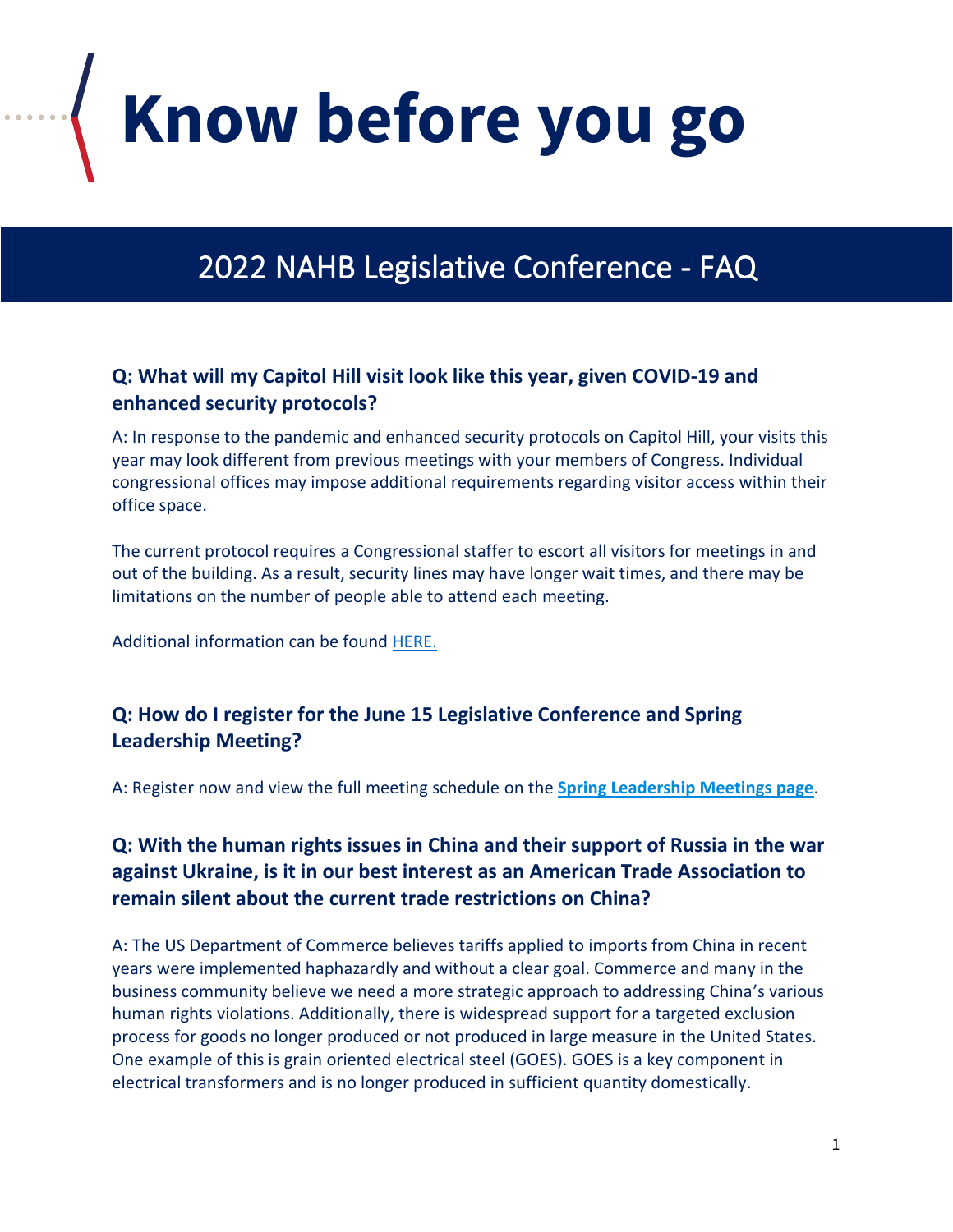**Know before you go**

# 2022 NAHB Legislative Conference - FAQ

#### **Q: What will my Capitol Hill visit look like this year, given COVID-19 and enhanced security protocols?**

A: In response to the pandemic and enhanced security protocols on Capitol Hill, your visits this year may look different from previous meetings with your members of Congress. Individual congressional offices may impose additional requirements regarding visitor access within their office space.

The current protocol requires a Congressional staffer to escort all visitors for meetings in and out of the building. As a result, security lines may have longer wait times, and there may be limitations on the number of people able to attend each meeting.

Additional information can be found [HERE.](https://www.uscp.gov/visiting-capitol-hill/visitor-information)

#### **Q: How do I register for the June 15 Legislative Conference and Spring Leadership Meeting?**

A: Register now and view the full meeting schedule on the **[Spring Leadership Meetings page](https://www.nahb.org/education-and-events/upcoming-events/spring-leadership-meetings)**.

## **Q: With the human rights issues in China and their support of Russia in the war against Ukraine, is it in our best interest as an American Trade Association to remain silent about the current trade restrictions on China?**

A: The US Department of Commerce believes tariffs applied to imports from China in recent years were implemented haphazardly and without a clear goal. Commerce and many in the business community believe we need a more strategic approach to addressing China's various human rights violations. Additionally, there is widespread support for a targeted exclusion process for goods no longer produced or not produced in large measure in the United States. One example of this is grain oriented electrical steel (GOES). GOES is a key component in electrical transformers and is no longer produced in sufficient quantity domestically.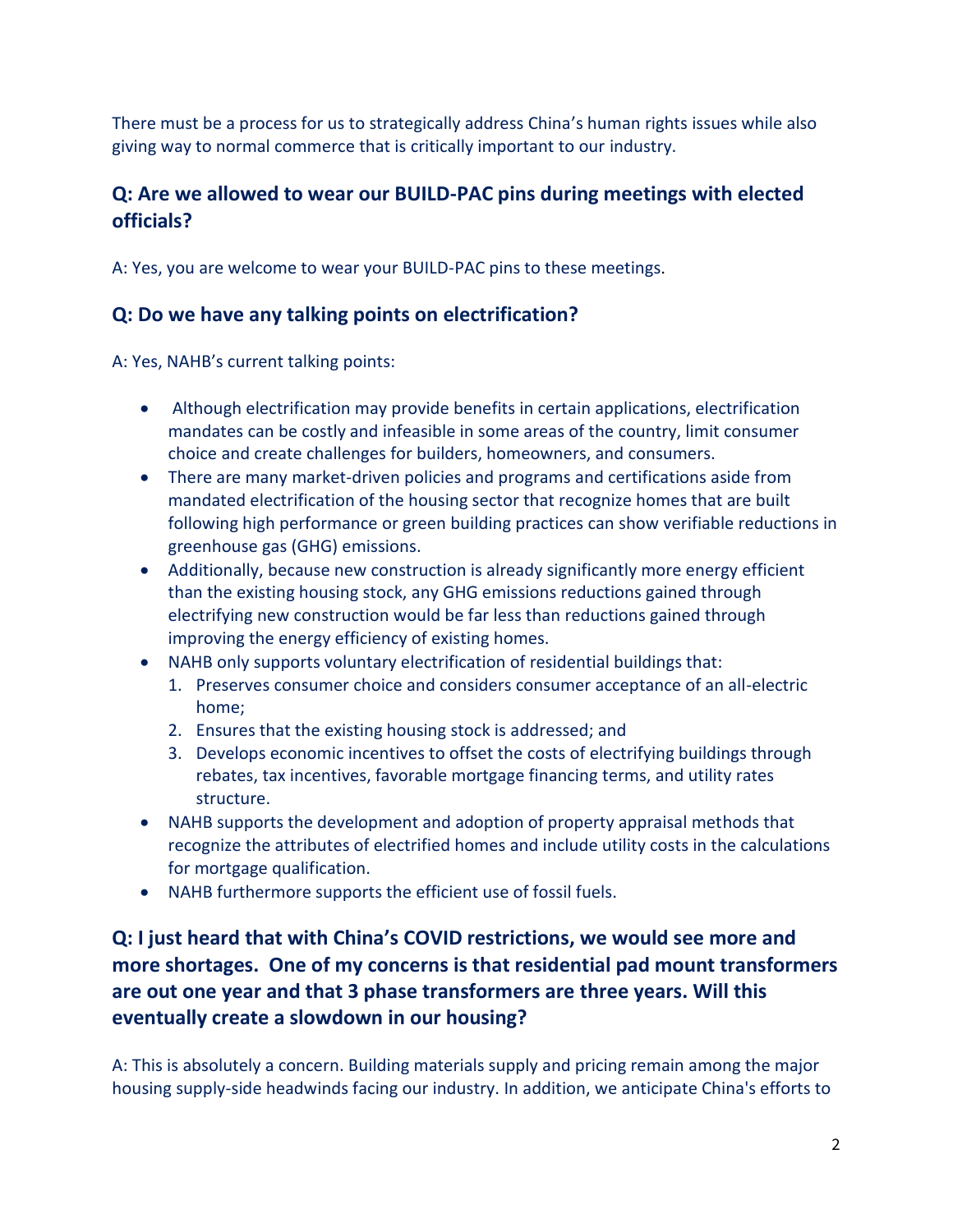There must be a process for us to strategically address China's human rights issues while also giving way to normal commerce that is critically important to our industry.

# **Q: Are we allowed to wear our BUILD-PAC pins during meetings with elected officials?**

A: Yes, you are welcome to wear your BUILD-PAC pins to these meetings.

## **Q: Do we have any talking points on electrification?**

A: Yes, NAHB's current talking points:

- Although electrification may provide benefits in certain applications, electrification mandates can be costly and infeasible in some areas of the country, limit consumer choice and create challenges for builders, homeowners, and consumers.
- There are many market-driven policies and programs and certifications aside from mandated electrification of the housing sector that recognize homes that are built following high performance or green building practices can show verifiable reductions in greenhouse gas (GHG) emissions.
- Additionally, because new construction is already significantly more energy efficient than the existing housing stock, any GHG emissions reductions gained through electrifying new construction would be far less than reductions gained through improving the energy efficiency of existing homes.
- NAHB only supports voluntary electrification of residential buildings that:
	- 1. Preserves consumer choice and considers consumer acceptance of an all-electric home;
	- 2. Ensures that the existing housing stock is addressed; and
	- 3. Develops economic incentives to offset the costs of electrifying buildings through rebates, tax incentives, favorable mortgage financing terms, and utility rates structure.
- NAHB supports the development and adoption of property appraisal methods that recognize the attributes of electrified homes and include utility costs in the calculations for mortgage qualification.
- NAHB furthermore supports the efficient use of fossil fuels.

# **Q: I just heard that with China's COVID restrictions, we would see more and more shortages. One of my concerns is that residential pad mount transformers are out one year and that 3 phase transformers are three years. Will this eventually create a slowdown in our housing?**

A: This is absolutely a concern. Building materials supply and pricing remain among the major housing supply-side headwinds facing our industry. In addition, we anticipate China's efforts to